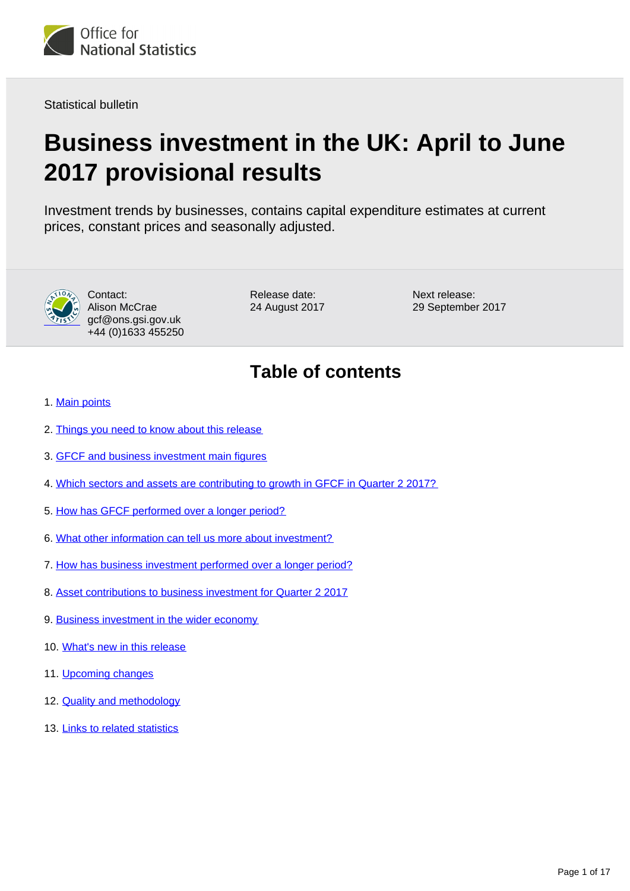

Statistical bulletin

# **Business investment in the UK: April to June 2017 provisional results**

Investment trends by businesses, contains capital expenditure estimates at current prices, constant prices and seasonally adjusted.



Contact: Alison McCrae gcf@ons.gsi.gov.uk +44 (0)1633 455250

Release date: 24 August 2017 Next release: 29 September 2017

## **Table of contents**

- 1. [Main points](#page-1-0)
- 2. [Things you need to know about this release](#page-1-1)
- 3. [GFCF and business investment main figures](#page-2-0)
- 4. [Which sectors and assets are contributing to growth in GFCF in Quarter 2 2017?](#page-2-1)
- 5. [How has GFCF performed over a longer period?](#page-6-0)
- 6. [What other information can tell us more about investment?](#page-8-0)
- 7. [How has business investment performed over a longer period?](#page-8-1)
- 8. [Asset contributions to business investment for Quarter 2 2017](#page-10-0)
- 9. [Business investment in the wider economy](#page-12-0)
- 10. [What's new in this release](#page-12-1)
- 11. [Upcoming changes](#page-12-2)
- 12. [Quality and methodology](#page-13-0)
- 13. [Links to related statistics](#page-15-0)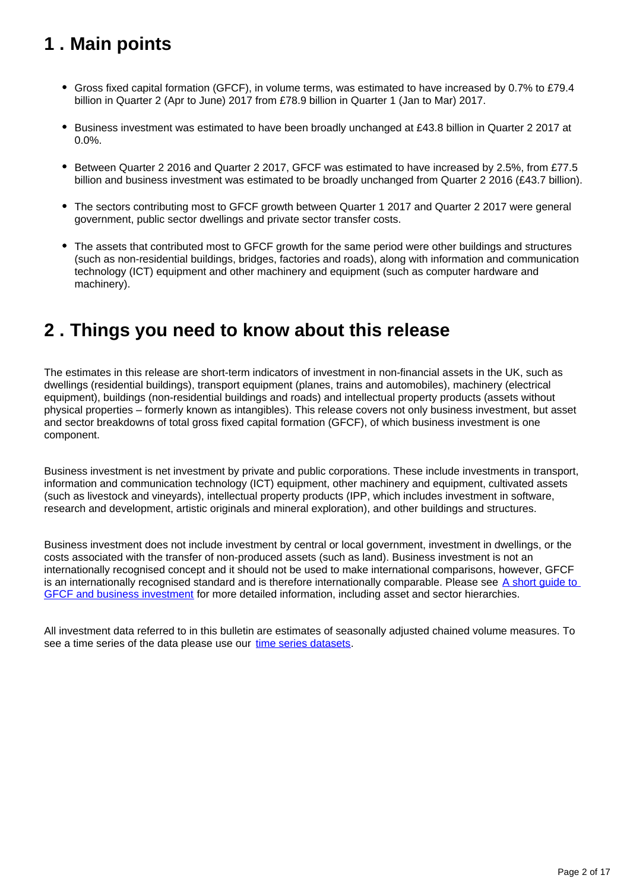## <span id="page-1-0"></span>**1 . Main points**

- Gross fixed capital formation (GFCF), in volume terms, was estimated to have increased by 0.7% to £79.4 billion in Quarter 2 (Apr to June) 2017 from £78.9 billion in Quarter 1 (Jan to Mar) 2017.
- Business investment was estimated to have been broadly unchanged at £43.8 billion in Quarter 2 2017 at 0.0%.
- Between Quarter 2 2016 and Quarter 2 2017, GFCF was estimated to have increased by 2.5%, from £77.5 billion and business investment was estimated to be broadly unchanged from Quarter 2 2016 (£43.7 billion).
- The sectors contributing most to GFCF growth between Quarter 1 2017 and Quarter 2 2017 were general government, public sector dwellings and private sector transfer costs.
- The assets that contributed most to GFCF growth for the same period were other buildings and structures (such as non-residential buildings, bridges, factories and roads), along with information and communication technology (ICT) equipment and other machinery and equipment (such as computer hardware and machinery).

### <span id="page-1-1"></span>**2 . Things you need to know about this release**

The estimates in this release are short-term indicators of investment in non-financial assets in the UK, such as dwellings (residential buildings), transport equipment (planes, trains and automobiles), machinery (electrical equipment), buildings (non-residential buildings and roads) and intellectual property products (assets without physical properties – formerly known as intangibles). This release covers not only business investment, but asset and sector breakdowns of total gross fixed capital formation (GFCF), of which business investment is one component.

Business investment is net investment by private and public corporations. These include investments in transport, information and communication technology (ICT) equipment, other machinery and equipment, cultivated assets (such as livestock and vineyards), intellectual property products (IPP, which includes investment in software, research and development, artistic originals and mineral exploration), and other buildings and structures.

Business investment does not include investment by central or local government, investment in dwellings, or the costs associated with the transfer of non-produced assets (such as land). Business investment is not an internationally recognised concept and it should not be used to make international comparisons, however, GFCF is an internationally recognised standard and is therefore internationally comparable. Please see  $\overline{A}$  short guide to [GFCF and business investment](https://www.ons.gov.uk/economy/grossdomesticproductgdp/articles/ashortguidetogrossfixedcapitalformationandbusinessinvestment/2017-05-25) for more detailed information, including asset and sector hierarchies.

All investment data referred to in this bulletin are estimates of seasonally adjusted chained volume measures. To see a time series of the data please use our [time series datasets.](http://www.ons.gov.uk/economy/grossdomesticproductgdp/datasets/businessinvestment)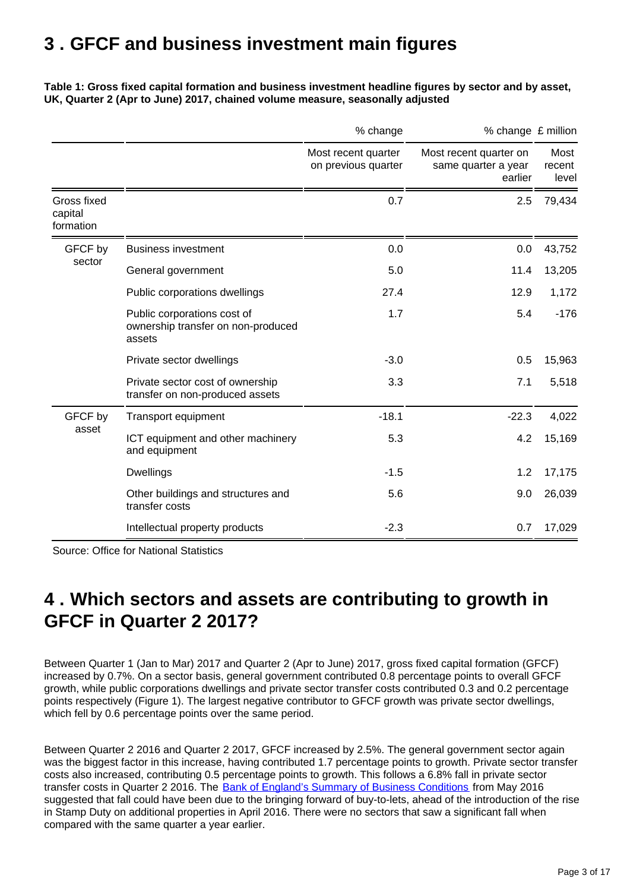### <span id="page-2-0"></span>**3 . GFCF and business investment main figures**

#### **Table 1: Gross fixed capital formation and business investment headline figures by sector and by asset, UK, Quarter 2 (Apr to June) 2017, chained volume measure, seasonally adjusted**

|                                     |                                                                             | % change                                   | % change £ million                                       |                         |
|-------------------------------------|-----------------------------------------------------------------------------|--------------------------------------------|----------------------------------------------------------|-------------------------|
|                                     |                                                                             | Most recent quarter<br>on previous quarter | Most recent quarter on<br>same quarter a year<br>earlier | Most<br>recent<br>level |
| Gross fixed<br>capital<br>formation |                                                                             | 0.7                                        | 2.5                                                      | 79,434                  |
| GFCF by<br>sector                   | <b>Business investment</b>                                                  | 0.0                                        | 0.0                                                      | 43,752                  |
|                                     | General government                                                          | 5.0                                        | 11.4                                                     | 13,205                  |
|                                     | Public corporations dwellings                                               | 27.4                                       | 12.9                                                     | 1,172                   |
|                                     | Public corporations cost of<br>ownership transfer on non-produced<br>assets | 1.7                                        | 5.4                                                      | $-176$                  |
|                                     | Private sector dwellings                                                    | $-3.0$                                     | 0.5                                                      | 15,963                  |
|                                     | Private sector cost of ownership<br>transfer on non-produced assets         | 3.3                                        | 7.1                                                      | 5,518                   |
| GFCF by<br>asset                    | Transport equipment                                                         | $-18.1$                                    | $-22.3$                                                  | 4,022                   |
|                                     | ICT equipment and other machinery<br>and equipment                          | 5.3                                        | 4.2                                                      | 15,169                  |
|                                     | <b>Dwellings</b>                                                            | $-1.5$                                     | 1.2                                                      | 17,175                  |
|                                     | Other buildings and structures and<br>transfer costs                        | 5.6                                        | 9.0                                                      | 26,039                  |
|                                     | Intellectual property products                                              | $-2.3$                                     | 0.7                                                      | 17,029                  |

Source: Office for National Statistics

### <span id="page-2-1"></span>**4 . Which sectors and assets are contributing to growth in GFCF in Quarter 2 2017?**

Between Quarter 1 (Jan to Mar) 2017 and Quarter 2 (Apr to June) 2017, gross fixed capital formation (GFCF) increased by 0.7%. On a sector basis, general government contributed 0.8 percentage points to overall GFCF growth, while public corporations dwellings and private sector transfer costs contributed 0.3 and 0.2 percentage points respectively (Figure 1). The largest negative contributor to GFCF growth was private sector dwellings, which fell by 0.6 percentage points over the same period.

Between Quarter 2 2016 and Quarter 2 2017, GFCF increased by 2.5%. The general government sector again was the biggest factor in this increase, having contributed 1.7 percentage points to growth. Private sector transfer costs also increased, contributing 0.5 percentage points to growth. This follows a 6.8% fall in private sector transfer costs in Quarter 2 2016. The [Bank of England's Summary of Business Conditions](http://www.bankofengland.co.uk/publications/Pages/agentssummary/2016/may.aspx) from May 2016 suggested that fall could have been due to the bringing forward of buy-to-lets, ahead of the introduction of the rise in Stamp Duty on additional properties in April 2016. There were no sectors that saw a significant fall when compared with the same quarter a year earlier.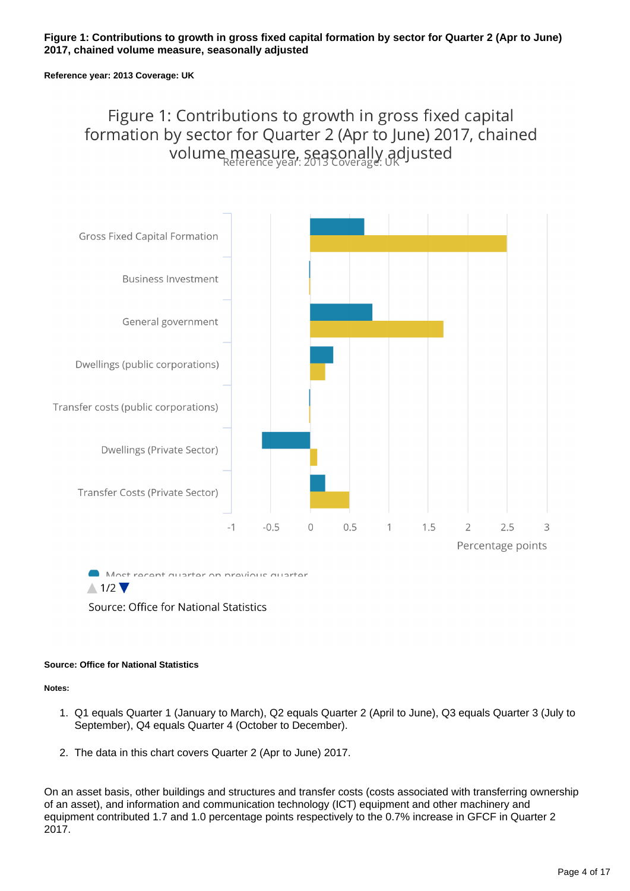#### **Figure 1: Contributions to growth in gross fixed capital formation by sector for Quarter 2 (Apr to June) 2017, chained volume measure, seasonally adjusted**

#### **Reference year: 2013 Coverage: UK**

### Figure 1: Contributions to growth in gross fixed capital formation by sector for Quarter 2 (Apr to June) 2017, chained volume measure, seasonally adjusted



 $\triangle 1/2$   $\blacktriangledown$ 

Source: Office for National Statistics

#### **Source: Office for National Statistics**

#### **Notes:**

- 1. Q1 equals Quarter 1 (January to March), Q2 equals Quarter 2 (April to June), Q3 equals Quarter 3 (July to September), Q4 equals Quarter 4 (October to December).
- 2. The data in this chart covers Quarter 2 (Apr to June) 2017.

On an asset basis, other buildings and structures and transfer costs (costs associated with transferring ownership of an asset), and information and communication technology (ICT) equipment and other machinery and equipment contributed 1.7 and 1.0 percentage points respectively to the 0.7% increase in GFCF in Quarter 2 2017.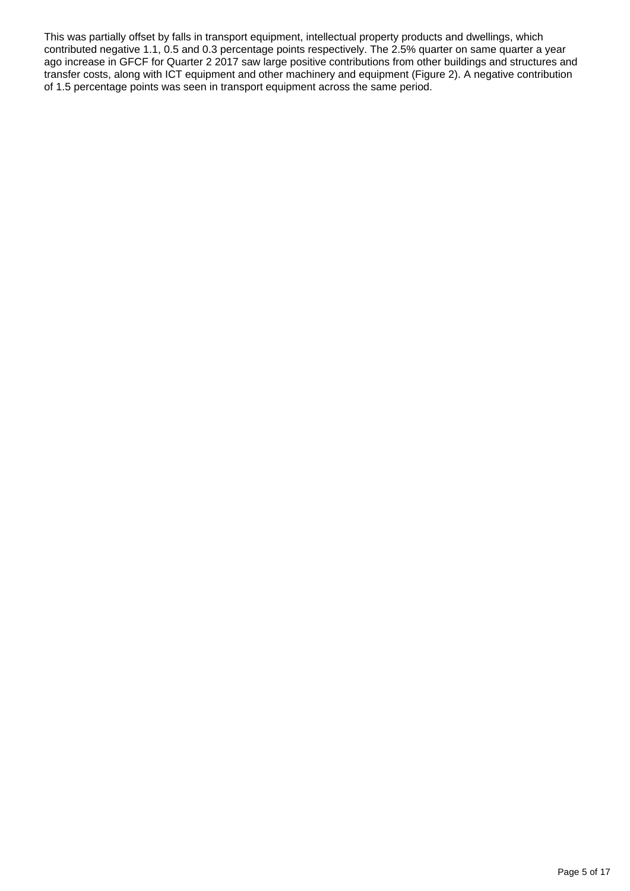This was partially offset by falls in transport equipment, intellectual property products and dwellings, which contributed negative 1.1, 0.5 and 0.3 percentage points respectively. The 2.5% quarter on same quarter a year ago increase in GFCF for Quarter 2 2017 saw large positive contributions from other buildings and structures and transfer costs, along with ICT equipment and other machinery and equipment (Figure 2). A negative contribution of 1.5 percentage points was seen in transport equipment across the same period.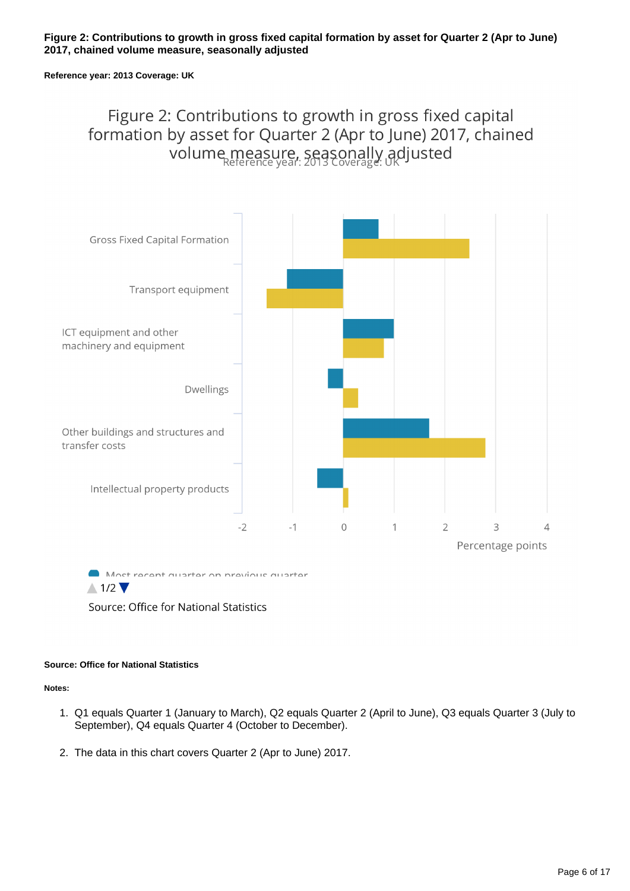#### **Figure 2: Contributions to growth in gross fixed capital formation by asset for Quarter 2 (Apr to June) 2017, chained volume measure, seasonally adjusted**

#### **Reference year: 2013 Coverage: UK**

### Figure 2: Contributions to growth in gross fixed capital formation by asset for Quarter 2 (Apr to June) 2017, chained volume measure, seasonally adjusted



Source: Office for National Statistics

#### **Source: Office for National Statistics**

#### **Notes:**

- 1. Q1 equals Quarter 1 (January to March), Q2 equals Quarter 2 (April to June), Q3 equals Quarter 3 (July to September), Q4 equals Quarter 4 (October to December).
- 2. The data in this chart covers Quarter 2 (Apr to June) 2017.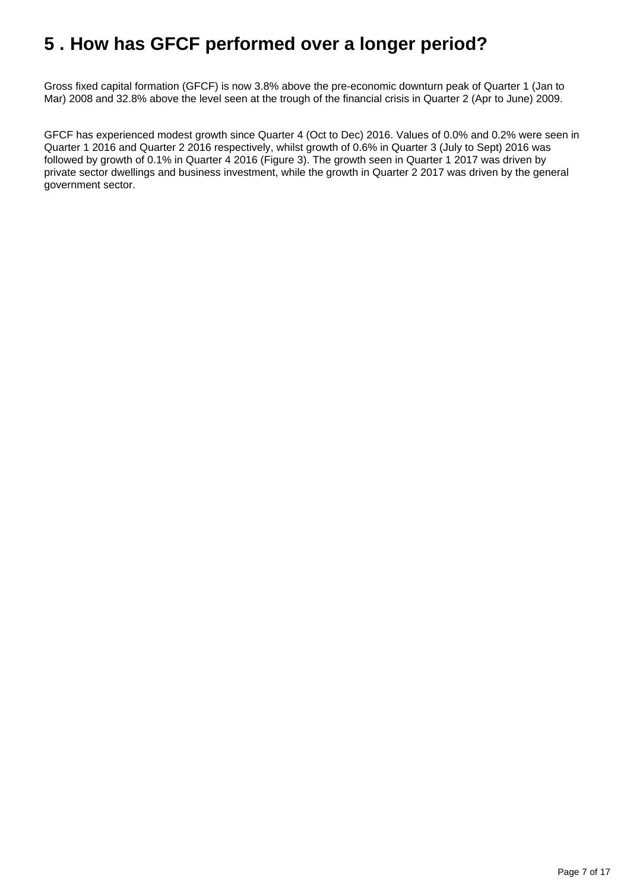### <span id="page-6-0"></span>**5 . How has GFCF performed over a longer period?**

Gross fixed capital formation (GFCF) is now 3.8% above the pre-economic downturn peak of Quarter 1 (Jan to Mar) 2008 and 32.8% above the level seen at the trough of the financial crisis in Quarter 2 (Apr to June) 2009.

GFCF has experienced modest growth since Quarter 4 (Oct to Dec) 2016. Values of 0.0% and 0.2% were seen in Quarter 1 2016 and Quarter 2 2016 respectively, whilst growth of 0.6% in Quarter 3 (July to Sept) 2016 was followed by growth of 0.1% in Quarter 4 2016 (Figure 3). The growth seen in Quarter 1 2017 was driven by private sector dwellings and business investment, while the growth in Quarter 2 2017 was driven by the general government sector.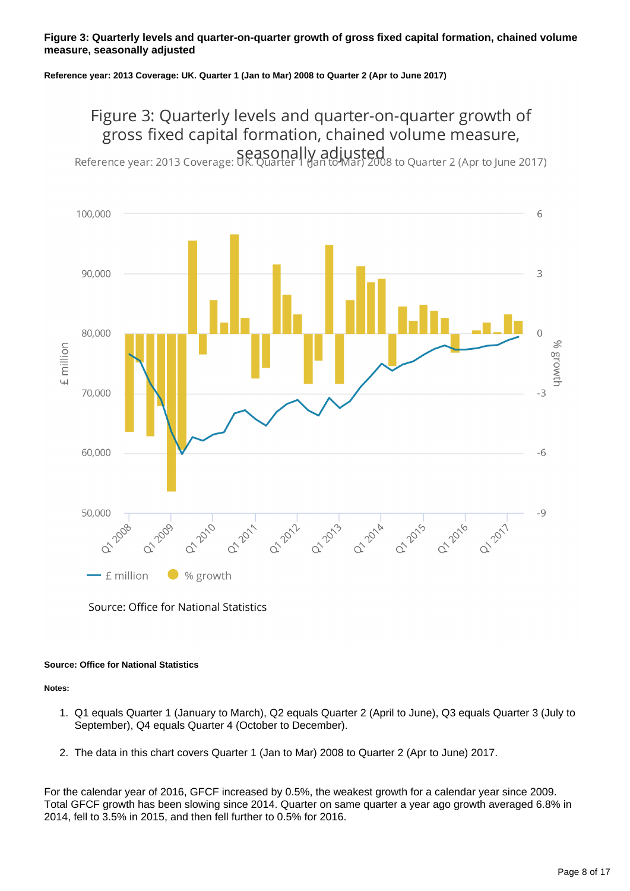#### **Figure 3: Quarterly levels and quarter-on-quarter growth of gross fixed capital formation, chained volume measure, seasonally adjusted**

**Reference year: 2013 Coverage: UK. Quarter 1 (Jan to Mar) 2008 to Quarter 2 (Apr to June 2017)**

## Figure 3: Quarterly levels and quarter-on-quarter growth of gross fixed capital formation, chained volume measure,

Reference year: 2013 Coverage: UK. Quarter | Han to Mar) 2008 to Quarter 2 (Apr to June 2017)



Source: Office for National Statistics

#### **Source: Office for National Statistics**

#### **Notes:**

- 1. Q1 equals Quarter 1 (January to March), Q2 equals Quarter 2 (April to June), Q3 equals Quarter 3 (July to September), Q4 equals Quarter 4 (October to December).
- 2. The data in this chart covers Quarter 1 (Jan to Mar) 2008 to Quarter 2 (Apr to June) 2017.

For the calendar year of 2016, GFCF increased by 0.5%, the weakest growth for a calendar year since 2009. Total GFCF growth has been slowing since 2014. Quarter on same quarter a year ago growth averaged 6.8% in 2014, fell to 3.5% in 2015, and then fell further to 0.5% for 2016.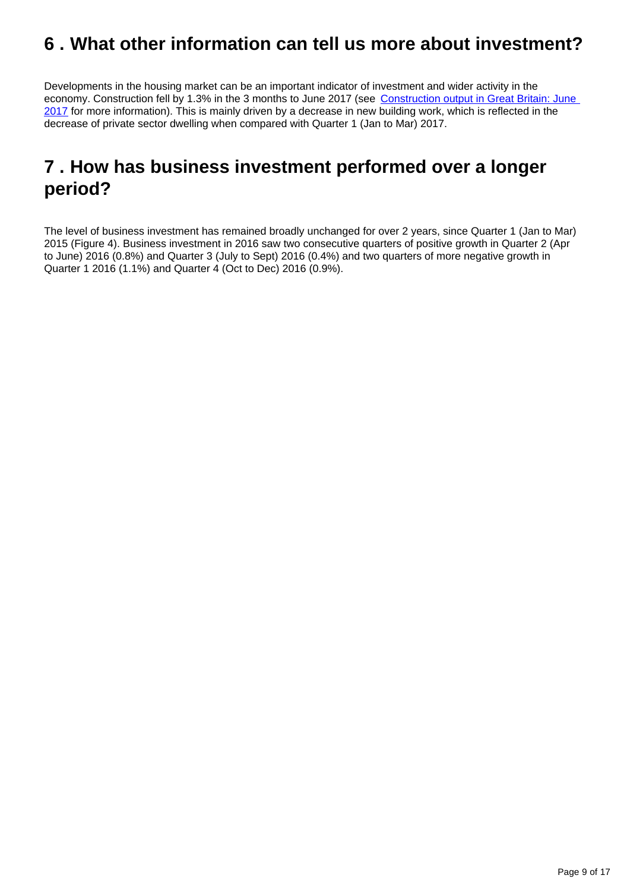### <span id="page-8-0"></span>**6 . What other information can tell us more about investment?**

Developments in the housing market can be an important indicator of investment and wider activity in the economy. Construction fell by 1.3% in the 3 months to June 2017 (see Construction output in Great Britain: June [2017](https://www.ons.gov.uk/businessindustryandtrade/constructionindustry/bulletins/constructionoutputingreatbritain/june2017) for more information). This is mainly driven by a decrease in new building work, which is reflected in the decrease of private sector dwelling when compared with Quarter 1 (Jan to Mar) 2017.

### <span id="page-8-1"></span>**7 . How has business investment performed over a longer period?**

The level of business investment has remained broadly unchanged for over 2 years, since Quarter 1 (Jan to Mar) 2015 (Figure 4). Business investment in 2016 saw two consecutive quarters of positive growth in Quarter 2 (Apr to June) 2016 (0.8%) and Quarter 3 (July to Sept) 2016 (0.4%) and two quarters of more negative growth in Quarter 1 2016 (1.1%) and Quarter 4 (Oct to Dec) 2016 (0.9%).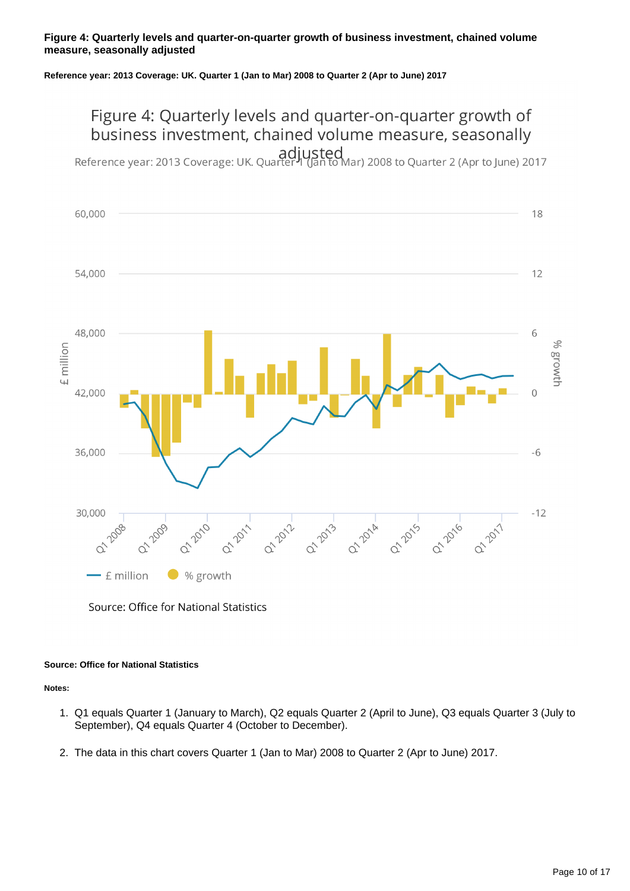#### **Figure 4: Quarterly levels and quarter-on-quarter growth of business investment, chained volume measure, seasonally adjusted**

#### **Reference year: 2013 Coverage: UK. Quarter 1 (Jan to Mar) 2008 to Quarter 2 (Apr to June) 2017**

## Figure 4: Quarterly levels and quarter-on-quarter growth of business investment, chained volume measure, seasonally

adjusted<br>Reference year: 2013 Coverage: UK. Quarter II (Jan to Mar) 2008 to Quarter 2 (Apr to June) 2017



Source: Office for National Statistics

#### **Source: Office for National Statistics**

#### **Notes:**

- 1. Q1 equals Quarter 1 (January to March), Q2 equals Quarter 2 (April to June), Q3 equals Quarter 3 (July to September), Q4 equals Quarter 4 (October to December).
- 2. The data in this chart covers Quarter 1 (Jan to Mar) 2008 to Quarter 2 (Apr to June) 2017.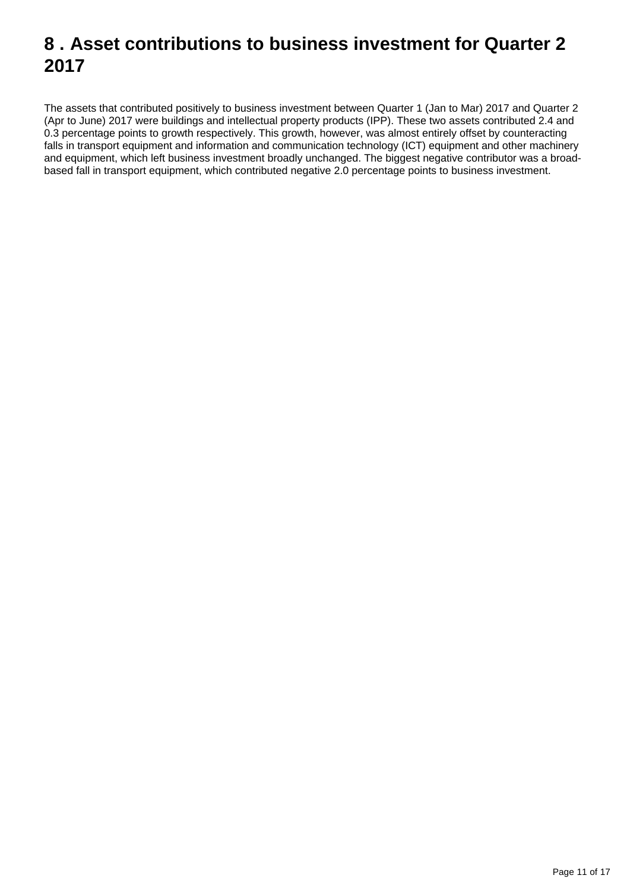### <span id="page-10-0"></span>**8 . Asset contributions to business investment for Quarter 2 2017**

The assets that contributed positively to business investment between Quarter 1 (Jan to Mar) 2017 and Quarter 2 (Apr to June) 2017 were buildings and intellectual property products (IPP). These two assets contributed 2.4 and 0.3 percentage points to growth respectively. This growth, however, was almost entirely offset by counteracting falls in transport equipment and information and communication technology (ICT) equipment and other machinery and equipment, which left business investment broadly unchanged. The biggest negative contributor was a broadbased fall in transport equipment, which contributed negative 2.0 percentage points to business investment.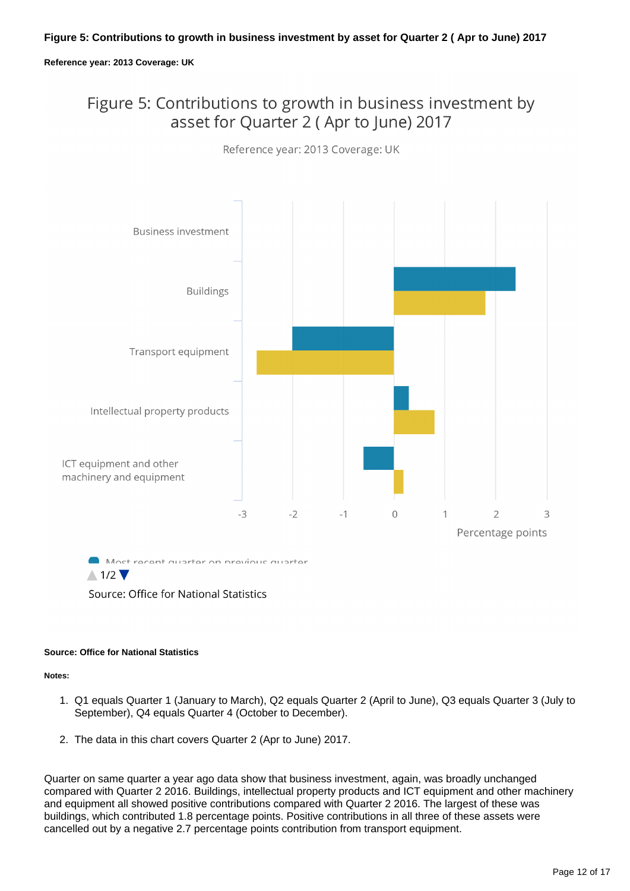#### **Reference year: 2013 Coverage: UK**

### Figure 5: Contributions to growth in business investment by asset for Quarter 2 (Apr to June) 2017



Reference year: 2013 Coverage: UK

### Source: Office for National Statistics

#### **Source: Office for National Statistics**

**Notes:**

- 1. Q1 equals Quarter 1 (January to March), Q2 equals Quarter 2 (April to June), Q3 equals Quarter 3 (July to September), Q4 equals Quarter 4 (October to December).
- 2. The data in this chart covers Quarter 2 (Apr to June) 2017.

Quarter on same quarter a year ago data show that business investment, again, was broadly unchanged compared with Quarter 2 2016. Buildings, intellectual property products and ICT equipment and other machinery and equipment all showed positive contributions compared with Quarter 2 2016. The largest of these was buildings, which contributed 1.8 percentage points. Positive contributions in all three of these assets were cancelled out by a negative 2.7 percentage points contribution from transport equipment.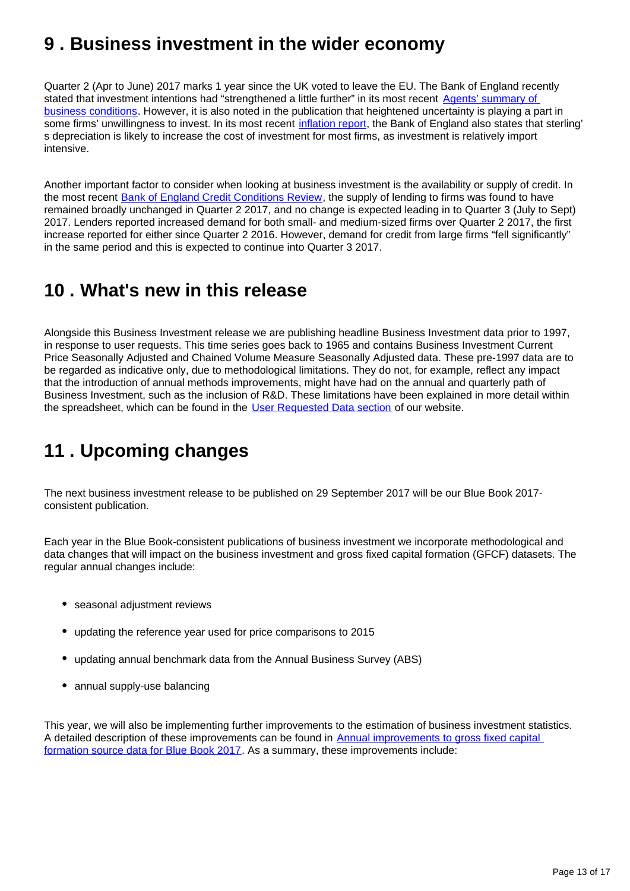### <span id="page-12-0"></span>**9 . Business investment in the wider economy**

Quarter 2 (Apr to June) 2017 marks 1 year since the UK voted to leave the EU. The Bank of England recently stated that investment intentions had "strengthened a little further" in its most recent Agents' summary of [business conditions](http://www.bankofengland.co.uk/publications/Documents/agentssummary/2017/q2.pdf). However, it is also noted in the publication that heightened uncertainty is playing a part in some firms' unwillingness to invest. In its most recent [inflation report,](http://www.bankofengland.co.uk/publications/Documents/inflationreport/2017/aug.pdf) the Bank of England also states that sterling' s depreciation is likely to increase the cost of investment for most firms, as investment is relatively import intensive.

Another important factor to consider when looking at business investment is the availability or supply of credit. In the most recent [Bank of England Credit Conditions Review](http://www.bankofengland.co.uk/publications/Pages/other/monetary/creditconditions.aspx), the supply of lending to firms was found to have remained broadly unchanged in Quarter 2 2017, and no change is expected leading in to Quarter 3 (July to Sept) 2017. Lenders reported increased demand for both small- and medium-sized firms over Quarter 2 2017, the first increase reported for either since Quarter 2 2016. However, demand for credit from large firms "fell significantly" in the same period and this is expected to continue into Quarter 3 2017.

### <span id="page-12-1"></span>**10 . What's new in this release**

Alongside this Business Investment release we are publishing headline Business Investment data prior to 1997, in response to user requests. This time series goes back to 1965 and contains Business Investment Current Price Seasonally Adjusted and Chained Volume Measure Seasonally Adjusted data. These pre-1997 data are to be regarded as indicative only, due to methodological limitations. They do not, for example, reflect any impact that the introduction of annual methods improvements, might have had on the annual and quarterly path of Business Investment, such as the inclusion of R&D. These limitations have been explained in more detail within the spreadsheet, which can be found in the [User Requested Data section](https://www.ons.gov.uk/aboutus/whatwedo/statistics/requestingstatistics/alladhocs) of our website.

## <span id="page-12-2"></span>**11 . Upcoming changes**

The next business investment release to be published on 29 September 2017 will be our Blue Book 2017 consistent publication.

Each year in the Blue Book-consistent publications of business investment we incorporate methodological and data changes that will impact on the business investment and gross fixed capital formation (GFCF) datasets. The regular annual changes include:

- seasonal adjustment reviews
- updating the reference year used for price comparisons to 2015
- updating annual benchmark data from the Annual Business Survey (ABS)
- annual supply-use balancing

This year, we will also be implementing further improvements to the estimation of business investment statistics. A detailed description of these improvements can be found in [Annual improvements to gross fixed capital](https://www.ons.gov.uk/economy/grossdomesticproductgdp/articles/annualimprovementstogrossfixedcapitalformationsourcedataforbluebook2017/2017-02-16)  [formation source data for Blue Book 2017](https://www.ons.gov.uk/economy/grossdomesticproductgdp/articles/annualimprovementstogrossfixedcapitalformationsourcedataforbluebook2017/2017-02-16). As a summary, these improvements include: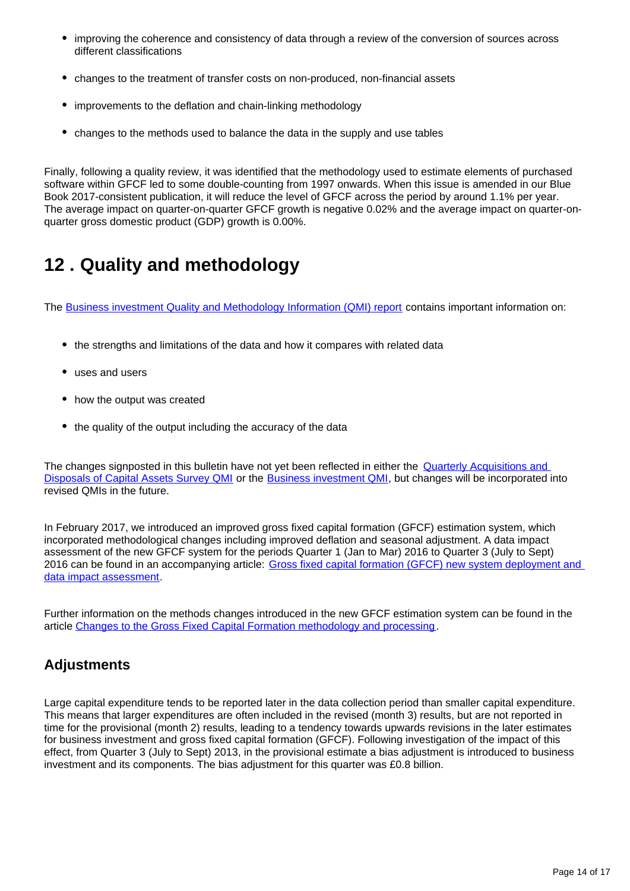- improving the coherence and consistency of data through a review of the conversion of sources across different classifications
- changes to the treatment of transfer costs on non-produced, non-financial assets
- improvements to the deflation and chain-linking methodology
- changes to the methods used to balance the data in the supply and use tables

Finally, following a quality review, it was identified that the methodology used to estimate elements of purchased software within GFCF led to some double-counting from 1997 onwards. When this issue is amended in our Blue Book 2017-consistent publication, it will reduce the level of GFCF across the period by around 1.1% per year. The average impact on quarter-on-quarter GFCF growth is negative 0.02% and the average impact on quarter-onquarter gross domestic product (GDP) growth is 0.00%.

## <span id="page-13-0"></span>**12 . Quality and methodology**

The [Business investment Quality and Methodology Information \(QMI\) report](https://www.ons.gov.uk/economy/investmentspensionsandtrusts/qmis/businessinvestmentqmi) contains important information on:

- the strengths and limitations of the data and how it compares with related data
- uses and users
- how the output was created
- the quality of the output including the accuracy of the data

The changes signposted in this bulletin have not yet been reflected in either the **Quarterly Acquisitions and** [Disposals of Capital Assets Survey QMI](https://www.ons.gov.uk/economy/grossdomesticproductgdp/qmis/quarterlyacquisitionsanddisposalsofcapitalassetssurveyqmi) or the [Business investment QMI](https://www.ons.gov.uk/economy/investmentspensionsandtrusts/qmis/businessinvestmentqmi), but changes will be incorporated into revised QMIs in the future.

In February 2017, we introduced an improved gross fixed capital formation (GFCF) estimation system, which incorporated methodological changes including improved deflation and seasonal adjustment. A data impact assessment of the new GFCF system for the periods Quarter 1 (Jan to Mar) 2016 to Quarter 3 (July to Sept) 2016 can be found in an accompanying article: [Gross fixed capital formation \(GFCF\) new system deployment and](https://www.ons.gov.uk/economy/nationalaccounts/uksectoraccounts/articles/nationalaccountsarticles/grossfixedcapitalformationgfcfnewsystemdeploymentanddataimpactassessment)  [data impact assessment.](https://www.ons.gov.uk/economy/nationalaccounts/uksectoraccounts/articles/nationalaccountsarticles/grossfixedcapitalformationgfcfnewsystemdeploymentanddataimpactassessment)

Further information on the methods changes introduced in the new GFCF estimation system can be found in the article [Changes to the Gross Fixed Capital Formation methodology and processing](https://www.ons.gov.uk/releases/nationalaccountsproposedmethodologicalandsystemchangestobeimplementedinnewgfcfsystem).

### **Adjustments**

Large capital expenditure tends to be reported later in the data collection period than smaller capital expenditure. This means that larger expenditures are often included in the revised (month 3) results, but are not reported in time for the provisional (month 2) results, leading to a tendency towards upwards revisions in the later estimates for business investment and gross fixed capital formation (GFCF). Following investigation of the impact of this effect, from Quarter 3 (July to Sept) 2013, in the provisional estimate a bias adjustment is introduced to business investment and its components. The bias adjustment for this quarter was £0.8 billion.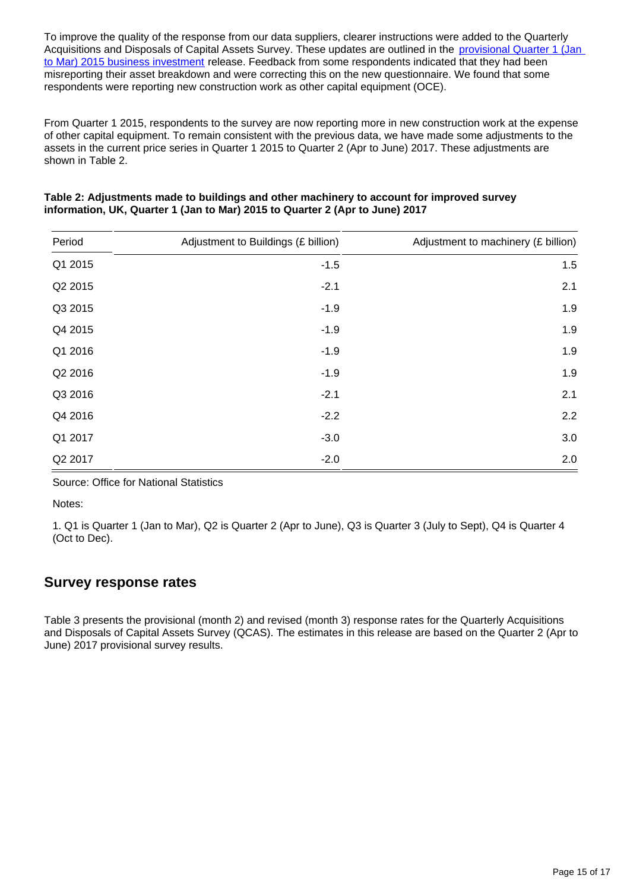To improve the quality of the response from our data suppliers, clearer instructions were added to the Quarterly Acquisitions and Disposals of Capital Assets Survey. These updates are outlined in the provisional Quarter 1 (Jan [to Mar\) 2015 business investment](https://www.ons.gov.uk/economy/grossdomesticproductgdp/bulletins/businessinvestment/2015-05-28) release. Feedback from some respondents indicated that they had been misreporting their asset breakdown and were correcting this on the new questionnaire. We found that some respondents were reporting new construction work as other capital equipment (OCE).

From Quarter 1 2015, respondents to the survey are now reporting more in new construction work at the expense of other capital equipment. To remain consistent with the previous data, we have made some adjustments to the assets in the current price series in Quarter 1 2015 to Quarter 2 (Apr to June) 2017. These adjustments are shown in Table 2.

| Period  | Adjustment to Buildings (£ billion) | Adjustment to machinery (£ billion) |
|---------|-------------------------------------|-------------------------------------|
| Q1 2015 | $-1.5$                              | 1.5                                 |
| Q2 2015 | $-2.1$                              | 2.1                                 |
| Q3 2015 | $-1.9$                              | 1.9                                 |
| Q4 2015 | $-1.9$                              | 1.9                                 |
| Q1 2016 | $-1.9$                              | 1.9                                 |
| Q2 2016 | $-1.9$                              | 1.9                                 |
| Q3 2016 | $-2.1$                              | 2.1                                 |
| Q4 2016 | $-2.2$                              | 2.2                                 |
| Q1 2017 | $-3.0$                              | 3.0                                 |
| Q2 2017 | $-2.0$                              | 2.0                                 |

| Table 2: Adjustments made to buildings and other machinery to account for improved survey |
|-------------------------------------------------------------------------------------------|
| information, UK, Quarter 1 (Jan to Mar) 2015 to Quarter 2 (Apr to June) 2017              |

Source: Office for National Statistics

Notes:

1. Q1 is Quarter 1 (Jan to Mar), Q2 is Quarter 2 (Apr to June), Q3 is Quarter 3 (July to Sept), Q4 is Quarter 4 (Oct to Dec).

### **Survey response rates**

Table 3 presents the provisional (month 2) and revised (month 3) response rates for the Quarterly Acquisitions and Disposals of Capital Assets Survey (QCAS). The estimates in this release are based on the Quarter 2 (Apr to June) 2017 provisional survey results.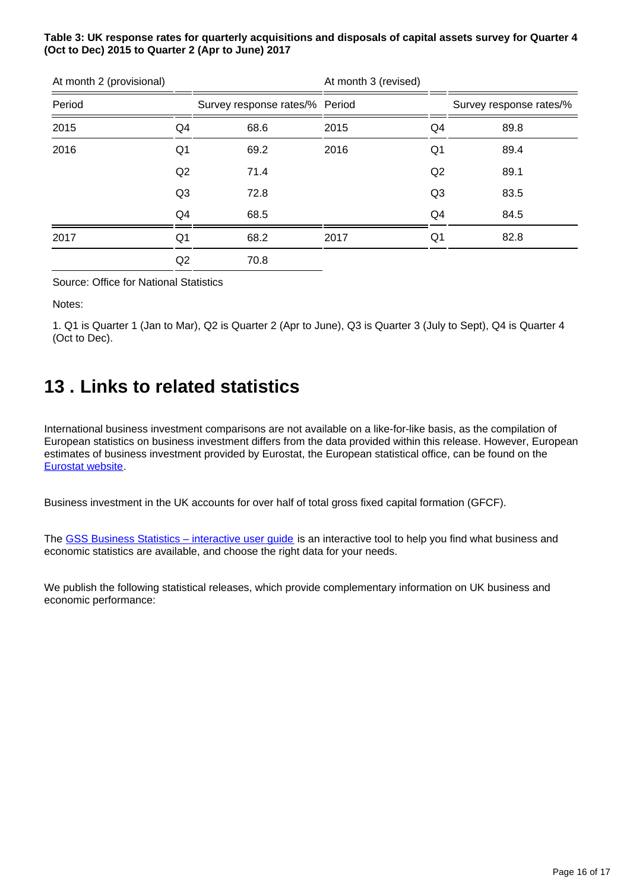### **Table 3: UK response rates for quarterly acquisitions and disposals of capital assets survey for Quarter 4 (Oct to Dec) 2015 to Quarter 2 (Apr to June) 2017**

| At month 2 (provisional) |                |                                | At month 3 (revised) |                |                         |
|--------------------------|----------------|--------------------------------|----------------------|----------------|-------------------------|
| Period                   |                | Survey response rates/% Period |                      |                | Survey response rates/% |
| 2015                     | Q4             | 68.6                           | 2015                 | Q4             | 89.8                    |
| 2016                     | Q <sub>1</sub> | 69.2                           | 2016                 | Q <sub>1</sub> | 89.4                    |
|                          | Q2             | 71.4                           |                      | Q2             | 89.1                    |
|                          | Q <sub>3</sub> | 72.8                           |                      | Q <sub>3</sub> | 83.5                    |
|                          | Q4             | 68.5                           |                      | Q4             | 84.5                    |
| 2017                     | Q <sub>1</sub> | 68.2                           | 2017                 | Q1             | 82.8                    |
|                          | Q2             | 70.8                           |                      |                |                         |

Source: Office for National Statistics

Notes:

1. Q1 is Quarter 1 (Jan to Mar), Q2 is Quarter 2 (Apr to June), Q3 is Quarter 3 (July to Sept), Q4 is Quarter 4 (Oct to Dec).

### <span id="page-15-0"></span>**13 . Links to related statistics**

International business investment comparisons are not available on a like-for-like basis, as the compilation of European statistics on business investment differs from the data provided within this release. However, European estimates of business investment provided by Eurostat, the European statistical office, can be found on the [Eurostat website.](http://ec.europa.eu/eurostat)

Business investment in the UK accounts for over half of total gross fixed capital formation (GFCF).

The [GSS Business Statistics – interactive user guide](http://webarchive.nationalarchives.gov.uk/20160105160709/http:/www.ons.gov.uk/ons/guide-method/understanding-ons-statistics/business-statistics---interactive-user-guide/index.html) is an interactive tool to help you find what business and economic statistics are available, and choose the right data for your needs.

We publish the following statistical releases, which provide complementary information on UK business and economic performance: